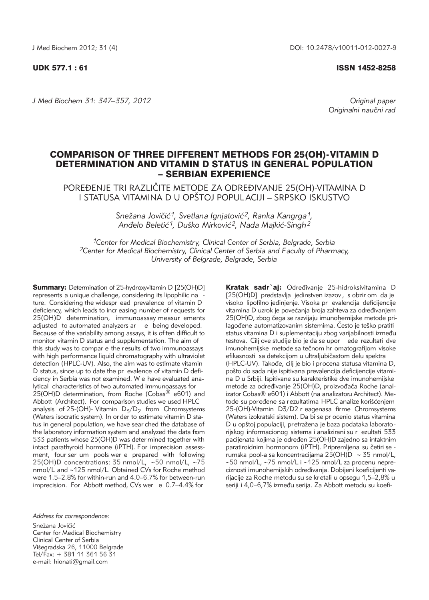UDK 577.1 : 61 ISSN 1452-8258

*J Med Biochem 31: 347–357, 2012 Original paper*

Originalni naučni rad

# COMPARISON OF THREE DIFFERENT METHODS FOR 25(OH)-VITAMIN D DETERMINATION AND VITAMIN D STATUS IN GENERAL POPULATION – SERBIAN EXPERIENCE

POREĐENJE TRI RAZLIČITE METODE ZA ODREĐIVANJE 25(OH)-VITAMINA D <u>I STATUSA VITAMINA D U OPŠTOJ POPULACIJI – SRPSKO ISKUSTVO</u>

> Snežana Jovičić<sup>1</sup>, Svetlana Ignjatović<sup>2</sup>, Ranka Kangrga<sup>1</sup>, Anđelo Beletić<sup>1</sup>, Duško Mirković<sup>2</sup>, Nada Majkić-Singh<sup>2</sup>

*1Center for Medical Biochemistry, Clinical Center of Serbia, Belgrade, Serbia 2Center for Medical Biochemistry, Clinical Center of Serbia and Faculty of Pharmacy, University of Belgrade, Belgrade, Serbia*

**Summary:** Determination of 25-hydroxyvitamin D [25(OH)D] represents a unique challenge, considering its lipophilic na ture. Considering the widespr ead prevalence of vitamin D deficiency, which leads to incr easing number of r equests for 25(OH)D determination, immunoassay measur ements adjusted to automated analyzers ar e being developed. Because of the variability among assays, it is of ten difficult to monitor vitamin D status and supplementation. The aim of this study was to compar e the results of two immunoassays with high performance liquid chromatography with ultraviolet detection (HPLC-UV). Also, the aim was to estimate vitamin D status, since up to date the pr evalence of vitamin D deficiency in Serbia was not examined. W e have evaluated analytical characteristics of two automated immunoassays for 25(OH)D determination, from Roche (Cobas $\frac{1}{10}$  e601) and Abbott (Architect). For comparison studies we used HPLC analysis of 25-(OH)- Vitamin  $D_z/D_2$  from Chromsystems (Waters isocratic system). In or der to estimate vitamin D status in general population, we have sear ched the database of the laboratory information system and analyzed the data from 533 patients whose 25(OH)D was deter mined together with intact parathyroid hormone (iPTH). For imprecision assessment, four ser um pools wer e prepared with following 25(OH)D concentrations: 35 nmol/L, ∼50 nmol/L, ∼75 nmol/L and ~125 nmol/L. Obtained CVs for Roche method were 1.5–2.8% for within-run and 4.0–6.7% for between-run imprecision. For Abbott method, CVs wer e 0.7–4.4% for

Snežana Jovičić

Center for Medical Biochemistry Clinical Center of Serbia Višegradska 26, 11000 Belgrade Tel/Fax: + 381 11 361 56 31 e-mail: hionati@gmail.com

Kratak sadr'aj: Određivanje 25-hidroksivitamina D [25(OH)D] predstavlja jedinstven izazov, s obzir om da je visoko lipofilno jedinjenje. Visoka pr evalencija deficijencije vitamina D uzrok je povećanja broja zahteva za određivanjem 25(OH)D, zbog čega se razvijaju imunohemijske metode prilagođene automatizovanim sistemima. Često je teško pratiti status vitamina D i suplementaciju zbog varijabilnosti između testova. Cilj ove studije bio je da se upor ede rezultati dve imunohemijske metode sa tečnom hr omatografijom visoke efikasnosti sa detekcijom u ultraljubičastom delu spektra (HPLC-UV). Takođe, cilj je bio i procena statusa vitamina D, pošto do sada nije ispitivana prevalencija deficijencije vitamina D u Srbiji. Ispitivane su karakteristike dve imunohemijske metode za određivanje 25(OH)D, proizvođača Roche (analizator Cobas® e601) i Abbott (na analizatoru Architect). Metode su poređene sa rezultatima HPLC analize korišćenjem 25-(OH)-Vitamin D3/D2 r eagenasa firme Chromsystems (Waters izokratski sistem). Da bi se pr ocenio status vitamina D u opštoj populaciji, pretražena je baza podataka laboratorijskog informacionog sistema i analizirani su r ezultati 533 pacijenata kojima je određen 25(OH)D zajedno sa intaktnim paratiroidnim hormonom (iPTH). Pripremljena su četiri se rumska pool-a sa koncentracijama 25(OH)D ∼ 35 nmol/L, ∼50 nmol/L, ∼75 nmol/L i ∼125 nmol/L za procenu nepreciznosti imunohemijskih određivanja. Dobijeni koeficijenti varijacije za Roche metodu su se kretali u opsegu 1,5–2,8% u seriji i 4,0-6,7% između serija. Za Abbott metodu su koefi-

*Address for correspondence:*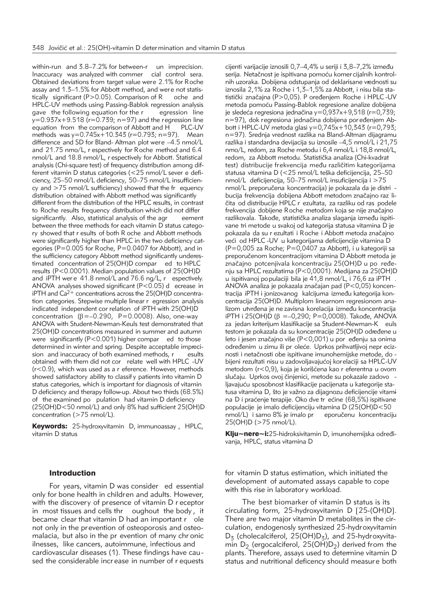within-run and 3.8–7.2% for between-r un imprecision. Inaccuracy was analyzed with commer cial control sera. Obtained deviations from target value were 2.1% for Roche assay and 1.3–1.5% for Abbott method, and were not statistically significant (P>0.05). Comparison of R oche and  $HPLC-UV$  methods using Passing-Bablok regression analysis gave the following equation for the r earession line gave the following equation for the r  $y=0.937x+9.518$  ( $r=0.739$ ; n=97) and the regression line equation from the comparison of Abbott and H PLC-UV methods was y=0.745x+10.343 (r=0.793; n=97). Mean difference and SD for Bland- Altman plot were –4.5 nmol/L and 21.75 nmo/L, r espectively for Roche method and 6.4 nmol/L and 18.8 nmol/L, r espectively for Abbott. Statistical analysis (Chi-square test) of frequency distribution among different vitamin D status categories (<25 nmol/L sever e deficiency, 25–50 nmol/L deficiency, 50–75 nmol/L insufficiency and >75 nmol/L sufficiency) showed that the fr equency distribution obtained with Abbott method was significantly different from the distribution of the HPLC results, in contrast to Roche results frequency distribution which did not differ significantly. Also, statistical analysis of the agr eement between the three methods for each vitamin D status category showed that r esults of both R oche and Abbott methods were significantly higher than HPLC in the two deficiency categories (P=0.005 for Roche, P=0.0407 for Abbott), and in the sufficiency category Abbott method significantly underestimated concentration of 25(OH)D compar ed to HPLC results (P<0.0001). Median population values of 25(OH)D and iPTH wer e 41.8 nmol/L and 76.6 ng/L, r espectively. ANOVA analyses showed significant ( $P < 0.05$ ) d ecrease in iPTH and  $Ca^{2+}$  concentrations across the 25(OH)D concentration categories. Stepwise multiple linear r egression analysis indicated independent cor relation of iPTH with 25(OH)D concentration  $(\beta = -0.290, P = 0.0008)$ . Also, one-way ANOVA with Student-Newman-Keuls test demonstrated that 25(OH)D concentrations measured in summer and autumn were significantly (P<0.001) higher compar ed to those determined in winter and spring. Despite acceptable imprecision and inaccuracy of both examined methods, r esults obtained with them did not cor relate well with HPLC -UV (r<0.9), which was used as a r eference. However, methods showed satisfactory ability to classif y patients into vitamin D status categories, which is important for diagnosis of vitamin D deficiency and therapy follow-up. About two thirds (68.5%) of the examined po pulation had vitamin D deficiency (25(OH)D<50 nmol/L) and only 8% had sufficient 25(OH)D concentration (>75 nmol/L).

Keywords: 25-hydroxyvitamin D, immunoassay , HPLC, vitamin D status

#### Introduction

For years, vitamin D was consider ed essential only for bone health in children and adults. However, with the discovery of presence of vitamin D r eceptor in most tissues and cells thr oughout the body , it became clear that vitamin D had an important r ole not only in the prevention of osteoporosis and osteomalacia, but also in the pr evention of many chr onic ilnesses, like cancers, autoimmune, infectious and cardiovascular diseases (1). These findings have cau sed the considerable incr ease in number of r equests cijenti varijacije iznosili 0,7-4,4% u seriji i 3,8-7,2% između serija. Netačnost je ispitivana pomoću komer cijalnih kontrolnih uzoraka. Dobijena odstupanja od deklarisane vrednosti su iznosila 2,1% za Roche i 1,3–1,5% za Abbott, i nisu bila statistički značajna (P>0,05). P oređenjem Roche i HPLC -UV metoda pomoću Passing-Bablok regresione analize dobijena je sledeća regresiona jednačina y=0,937x+9,518 (r=0,739; n=97), dok regresiona jednačina dobijena por eđenjem Abbott i HPLC-UV metoda glasi y=0,745x+10,343 (r=0,793; n=97). Srednja vrednost razlika na Bland-Altman dijagramu razlika i standardna devijacija su iznosile –4,5 nmol/L i 21,75 nmo/L, redom, za Roche metodu i 6,4 nmol/L i 18,8 nmol/L, redom, za Abbott metodu. Statistička analiza (Chi-kvadrat test) distribucije frekvencija među različitim kategorijama statusa vitamina D (<25 nmol/L teška deficijencija, 25-50 nmol/L deficijencija, 50–75 nmol/L insuficijencija i >75 nmol/L preporučena koncentracija) je pokazala da je distri bucija frekvencija dobijena Abbott metodom značajno raz ličita od distribucije HPLC r ezultata, za razliku od ras podele frekvencija dobijene Roche metodom koja se nije značajno razlikovala. Takođe, statistička analiza slaganja između ispitivane tri metode u svakoj od kategorija statusa vitamina D je pokazala da su r ezultati i Roche i Abbott metoda značajno veći od HPLC -UV u kategorijama deficijencije vitamina D (P=0,005 za Roche; P=0,0407 za Abbott), i u kategoriji sa preporučenom koncentracijom vitamina D Abbott metoda je značajno potcenjivala koncentraciju 25(OH)D u po ređenju sa HPLC rezultatima (P<0,0001). Medijana za 25(OH)D u ispitivanoj po pulaciji bila je 41,8 nmol/L, i 76,6 za iPTH . ANOVA analiza je pokazala značajan pad (P<0,05) koncentracija iPTH i jonizovanog kalcijuma između kategorija koncentracija 25(OH)D. Multiplom linearnom regresionom ana lizom utvrđena je ne zavisna korelacija između koncentracija iPTH i 25(OH)D ( $\beta$  =-0,290; P=0,0008). Takođe, ANOVA za jedan kriterijum klasifikacije sa Student-Newman-K euls testom je pokazala da su koncentracije 25(OH)D određene u leto i jesen značajno više (P<0,001) u por eđenju sa onima određenim u zimu ili pr oleće. Uprkos prihvatljivoj nepr eciznosti i netačnosti obe ispitivane imunohemijske metode, do bijeni rezultati nisu u zadovoljavajućoj korelaciji sa HPLC-UV metodom (r<0,9), koja je korišćena kao r eferentna u ovom slučaju. Uprkos ovoj činjenici, metode su pokazale zadovo ljavajuću sposobnost klasifikacije pacijenata u kategorije statusa vitamina D, što je važno za dijagnozu deficijencije vitami na D i praćenje terapije. Oko dve tr ećine (68,5%) ispitivane populacije je imalo deficijenciju vitamina D (25(OH)D<50 nmol/L) i samo 8% je imalo pr eporučenu koncentraciju 25(OH)D (>75 nmol/L).

Klju~nere~i:25-hidroksivitamin D, imunohemijska određivanja, HPLC, status vitamina D

for vitamin D status estimation, which initiated the development of automated assays capable to cope with this rise in laboratory workload.

The best biomarker of vitamin D status is its circulating form, 25-hydroxyvitamin D [25-(OH)D]. There are two major vitamin D metabolites in the circulation, endogenosly synthesized 25-hydroxyvitamin  $D_5$  (cholecalciferol, 25(OH) $D_5$ ), and 25-hydroxyvitamin  $D_2$  (ergocalciferol, 25(OH) $D_2$ ) derived from the plants. Therefore, assays used to determine vitamin D status and nutritional deficency should measur e both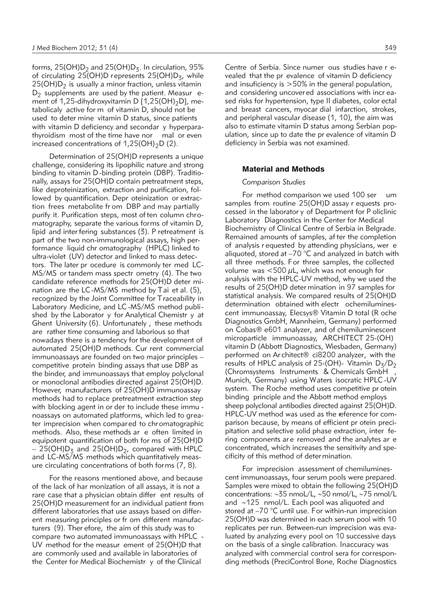forms,  $25(OH)D<sub>2</sub>$  and  $25(OH)D<sub>3</sub>$ . In circulation,  $95%$ of circulating  $25(OH)D$  represents  $25(OH)D<sub>z</sub>$ , while  $25(OH)D<sub>2</sub>$  is usually a minor fraction, unless vitamin  $D_2$  supplements are used by the patient. Measur ement of 1,25-dihydroxyvitamin D  $[1,25(OH)_2D]$ , meta bolicaly active for m of vitamin D, should not be used to deter mine vitamin D status, since patients with vitamin D deficiency and secondar y hyperparathyroidism most of the time have nor mal or even increased concentrations of  $1,25(OH)_2D(2)$ .

Determination of 25(OH)D represents a unique challenge, considering its lipophilic nature and strong binding to vitamin D-binding protein (DBP). Traditionally, assays for 25(OH)D contain pretreatment steps, like deproteinization, extraction and purification, followed by quantification. Depr oteinization or extraction frees metabolite fr om DBP and may partially purify it. Purification steps, most of ten column chromatography, separate the various forms of vitamin D, lipid and inter fering substances (3). P retreatment is part of the two non-immunological assays, high performance liquid chr omatography (HPLC) linked to ultra-violet (UV) detector and linked to mass detectors. The later pr ocedure is commonly ter med LC-MS/MS or tandem mass spectr ometry (4). The two candidate reference methods for 25(OH)D deter mination are the LC -MS/MS method by Tai et al. (5), recognized by the Joint Committee for Traceability in Laboratory Medicine, and LC -MS/MS method publi shed by the Laborator y for Analytical Chemistr y at Ghent University (6). Unfortunately , these methods are rather time consuming and laborious so that nowadays there is a tendency for the development of automated 25(OH)D methods. Cur rent commercial immunoassays are founded on two major principles – competitive protein binding assays that use DBP as the binder, and immunoassays that employ polyclonal or monoclonal antibodies directed against 25(OH)D. However, manufacturers of 25(OH)D immunoassay methods had to replace pretreatment extraction step with blocking agent in or der to include these immu noassays on automated platforms, which led to grea ter imprecision when compared to chromatographic methods. Also, these methods ar e often limited in equipotent quantification of both for ms of 25(OH)D  $-25(OH)D<sub>3</sub>$  and 25(OH)D<sub>2</sub>, compared with HPLC and LC-MS/MS methods which quantitatively measure circulating concentrations of both forms (7, 8).

For the reasons mentioned above, and because of the lack of har monization of all assays, it is not a rare case that a physician obtain differ ent results of 25(OH)D measurement for an individual patient from different laboratories that use assays based on different measuring principles or fr om different manufacturers (9). Ther efore, the aim of this study was to compare two automated immunoassays with HPLC - UV method for the measur ement of 25(OH)D that are commonly used and available in laboratories of the Center for Medical Biochemistr y of the Clinical

Centre of Serbia. Since numer ous studies have r evealed that the pr evalence of vitamin D deficiency and insuficiency is >50% in the general population, and considering uncovered associations with increased risks for hypertension, type II diabetes, color ectal and breast cancers, myocar dial infarction, strokes, and peripheral vascular disease (1, 10), the aim was also to estimate vitamin D status among Serbian population, since up to date the pr evalence of vitamin D deficiency in Serbia was not examined.

# Material and Methods

# *Comparison Studies*

For method comparison we used 100 ser um samples from routine 25(OH)D assay r equests processed in the laborator y of Department for P oliclinic Laboratory Diagnostics in the Center for Medical Biochemistry of Clinical Centre of Serbia in Belgrade. Remained amounts of samples, af ter the completion of analysis r equested by attending physicians, wer e aliquoted, stored at  $-70$  °C and analyzed in batch with all three methods. For three samples, the collected volume was  $<$  500  $\mu$ L, which was not enough for analysis with the HPLC-UV method, why we used the results of 25(OH)D deter mination in 97 samples for statistical analysis. We compared results of 25(OH)D determination obtained with electr ochemiluminescent immunoassay, Elecsys® Vitamin D total (R oche Diagnostics GmbH, Mannheim, Germany) performed on Cobas® e601 analyzer, and of chemiluminescent microparticle immunoassay, ARCHITECT 25-(OH) vitamin D (Abbott Diagnostics, Wiesbaden, Germany) performed on Ar chitect® ci8200 analyzer, with the results of HPLC analysis of 25-(OH)- Vitamin  $D_z/D_2$ (Chromsystems Instruments & Chemicals GmbH Munich, Germany) using Waters isocratic HPLC -UV system. The Roche method uses competitive pr otein binding principle and the Abbott method employs sheep polyclonal antibodies directed against 25(OH)D. HPLC-UV method was used as the reference for comparison because, by means of efficient pr otein precipitation and selective solid phase extraction, inter fering components are removed and the analytes ar e concentrated, which increases the sensitivity and specificity of this method of determination.

For imprecision assessment of chemiluminescent immunoassays, four serum pools were prepared. Samples were mixed to obtain the following 25(OH)D concentrations: ∼35 nmoL/L, ∼50 nmol/L, ∼75 nmol/L and ∼125 nmol/L. Each pool was aliquoted and stored at –70 °C until use. For within-run imprecision 25(OH)D was determined in each serum pool with 10 replicates per run. Between-run imprecision was eva luated by analyzing every pool on 10 successive days on the basis of a single calibration. Inaccuracy was analyzed with commercial control sera for corresponding methods (PreciControl Bone, Roche Diagnostics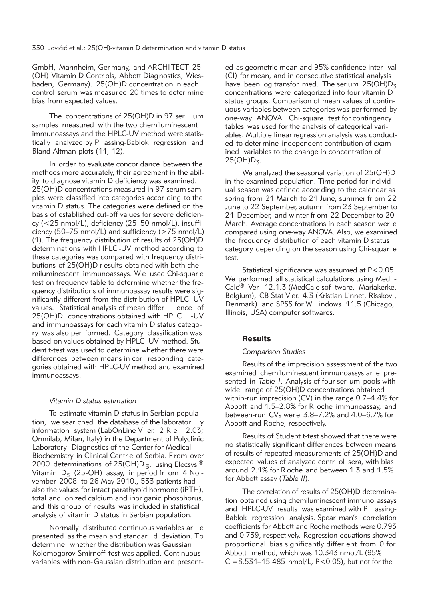GmbH, Mannheim, Ger many, and ARCHI TECT 25- (OH) Vitamin D Contr ols, Abbott Diagnostics, Wiesbaden, Germany). 25(OH)D concentration in each control serum was measured 20 times to deter mine bias from expected values.

The concentrations of 25(OH)D in 97 ser um samples measured with the two chemiluminescent immunoassays and the HPLC-UV method were statistically analyzed by P assing-Bablok regression and Bland-Altman plots (11, 12).

In order to evaluate concor dance between the methods more accurately, their agreement in the ability to diagnose vitamin D deficiency was examined. 25(OH)D concentrations measured in 97 serum samples were classified into categories accor ding to the vitamin D status. The categories were defined on the basis of established cut-off values for severe deficiency (<25 nmol/L), deficiency (25–50 nmol/L), insufficiency (50–75 nmol/L) and sufficiency (>75 nmol/L) (1). The frequency distribution of results of 25(OH)D determinations with HPLC -UV method accor ding to these categories was compared with frequency distributions of 25(OH)D r esults obtained with both che miluminescent immunoassays. W e used Chi-squar e test on frequency table to determine whether the frequency distributions of immunoassay results were significantly different from the distribution of HPLC -UV values. Statistical analysis of mean differ ence of 25(OH)D concentrations obtained with HPLC -UV and immunoassays for each vitamin D status category was also per formed. Category classification was based on values obtained by HPLC-UV method. Student t-test was used to determine whether there were differences between means in cor responding categories obtained with HPLC-UV method and examined immunoassays.

### *Vitamin D status estimation*

To estimate vitamin D status in Serbian population, we sear ched the database of the laborator y information system (LabOnLine V er. 2 R el. 2.03; Omnilab, Milan, Italy) in the Department of Polyclinic Laboratory Diagnostics of the Center for Medical Biochemistry in Clinical Centr e of Serbia. F rom over 2000 determinations of 25(OH)D<sub>3</sub>, using Elecsys<sup>®</sup> Vitamin  $D_5$  (25-OH) assay, in period fr om 4 No vember 2008. to 26 May 2010., 533 patients had also the values for intact parathyroid hormone (iPTH), total and ionized calcium and inor ganic phosphorus, and this gr oup of r esults was included in statistical analysis of vitamin D status in Serbian population.

Normally distributed continuous variables ar e presented as the mean and standar d deviation. To determine whether the distribution was Gaussian Kolomogorov-Smirnoff test was applied. Continuous variables with non-Gaussian distribution are presented as geometric mean and 95% confidence inter val (CI) for mean, and in consecutive statistical analysis have been log transfor med. The ser um  $25(OH)D<sub>3</sub>$ concentrations were categorized into four vitamin D status groups. Comparison of mean values of continuous variables between categories was per formed by one-way ANOVA. Chi-square test for contingency tables was used for the analysis of categorical variables. Multiple linear regression analysis was conducted to deter mine independent contribution of examined variables to the change in concentration of  $25(OH)D<sub>z</sub>$ .

We analyzed the seasonal variation of 25(OH)D in the examined population. Time period for individual season was defined accor ding to the calendar as spring from 21 March to 21 June, summer fr om 22 June to 22 September, autumn from 23 September to 21 December, and winter fr om 22 December to 20 March. Average concentrations in each season wer e compared using one-way ANOVA. Also, we examined the frequency distribution of each vitamin D status category depending on the season using Chi-squar e test.

Statistical significance was assumed at P<0.05. We performed all statistical calculations using Med -Calc® Ver. 12.1.3 (MedCalc sof tware, Mariakerke, Belgium), CB Stat V er. 4.3 (Kristian Linnet, Risskov , Denmark) and SPSS for W indows 11.5 (Chicago, Illinois, USA) computer softwares.

### **Results**

### *Comparison Studies*

Results of the imprecision assessment of the two examined chemiluminescent immunoassys ar e presented in *Table I*. Analysis of four ser um pools with wide range of 25(OH)D concentrations obtained within-run imprecision (CV) in the range 0.7–4.4% for Abbott and 1.5–2.8% for R oche immunoassay, and between-run CVs wer e 3.8–7.2% and 4.0–6.7% for Abbott and Roche, respectively.

Results of Student t-test showed that there were no statistically significant differences between means of results of repeated measurements of 25(OH)D and expected values of analyzed contr ol sera, with bias around 2.1% for R oche and between 1.3 and 1.5% for Abbott assay (*Table II*).

The correlation of results of 25(OH)D determination obtained using chemiluminescent immuno assays and HPLC-UV results was examined with P assing-Bablok regression analysis. Spear man's correlation coefficients for Abbott and Roche methods were 0.793 and 0.739, respectively. Regression equations showed proportional bias significantly differ ent from 0 for Abbott method, which was 10.343 nmol/L (95% CI=3.531–15.485 nmol/L, P<0.05), but not for the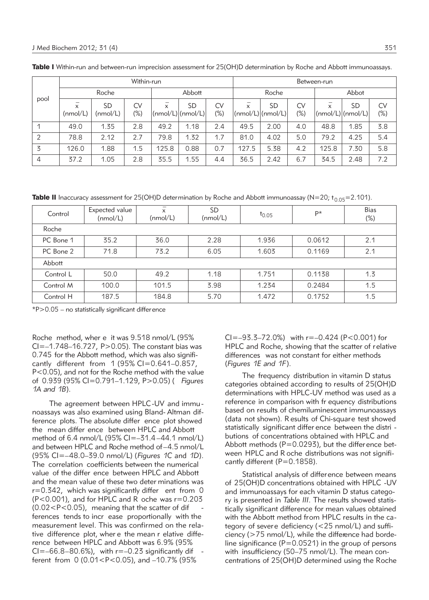| pool | Within-run    |                |                     |        |                                                | Between-run      |                |                          |                     |              |                                |                     |
|------|---------------|----------------|---------------------|--------|------------------------------------------------|------------------|----------------|--------------------------|---------------------|--------------|--------------------------------|---------------------|
|      | Roche         |                |                     | Abbott |                                                |                  | Roche          |                          | Abbot               |              |                                |                     |
|      | X<br>(mmol/L) | SD<br>(nmol/L) | <b>CV</b><br>$(\%)$ | X      | <b>SD</b><br>$\text{[nmol/L)]}\text{(nmol/L)}$ | <b>CV</b><br>(%) | $\overline{x}$ | SD<br> (nmol/L) (nmol/L) | <b>CV</b><br>$(\%)$ | $\mathsf{x}$ | <b>SD</b><br>(mmol/L) (nmol/L) | <b>CV</b><br>$(\%)$ |
|      | 49.0          | 1.35           | 2.8                 | 49.2   | 1.18                                           | 2.4              | 49.5           | 2.00                     | 4.0                 | 48.8         | 1.85                           | 3.8                 |
| 2    | 78.8          | 2.12           | 2.7                 | 79.8   | 1.32                                           | 1.7              | 81.0           | 4.02                     | 5.0                 | 79.2         | 4.25                           | 5.4                 |
| 3    | 126.0         | 1.88           | 1.5                 | 125.8  | 0.88                                           | 0.7              | 127.5          | 5.38                     | 4.2                 | 125.8        | 7.30                           | 5.8                 |
| 4    | 37.2          | 1.05           | 2.8                 | 35.5   | 1.55                                           | 4.4              | 36.5           | 2.42                     | 6.7                 | 34.5         | 2.48                           | 7.2                 |

Table I Within-run and between-run imprecision assessment for 25(OH)D determination by Roche and Abbott immunoassays.

**Table II** Inaccuracy assessment for 25(OH)D determination by Roche and Abbott immunoassay (N=20; t<sub>0.05</sub>=2.101).

| Control   | Expected value<br>(mmol/L) | -<br>x<br>(nmol/L) | <b>SD</b><br>(mmol/L) | $t_{0.05}$ | P*     | <b>Bias</b><br>$(\%)$ |  |  |  |
|-----------|----------------------------|--------------------|-----------------------|------------|--------|-----------------------|--|--|--|
| Roche     |                            |                    |                       |            |        |                       |  |  |  |
| PC Bone 1 | 35.2                       | 36.0               | 2.28                  | 1.936      | 0.0612 | 2.1                   |  |  |  |
| PC Bone 2 | 71.8                       | 73.2               | 6.05                  | 1.603      | 0.1169 | 2.1                   |  |  |  |
| Abbott    |                            |                    |                       |            |        |                       |  |  |  |
| Control L | 50.0                       | 49.2               | 1.18                  | 1.751      | 0.1138 | 1.3                   |  |  |  |
| Control M | 100.0                      | 101.5              | 3.98                  | 1.234      | 0.2484 | 1.5                   |  |  |  |
| Control H | 187.5                      | 184.8              | 5.70                  | 1.472      | 0.1752 | 1.5                   |  |  |  |

\*P>0.05 – no statistically significant difference

Roche method, wher e it was 9.518 nmol/L (95% CI=–1.748–16.727, P>0.05). The constant bias was 0.745 for the Abbott method, which was also significantly different from 1 (95% CI=0.641–0.857, P<0.05), and not for the Roche method with the value of 0.939 (95% CI=0.791–1.129, P>0.05) ( *Figures 1A and 1B*).

The agreement between HPLC-UV and immu no assays was also examined using Bland-Altman difference plots. The absolute differ ence plot showed the mean differ ence between HPLC and Abbott method of 6.4 nmol/L (95% CI=–31.4 –44.1 nmol/L) and between HPLC and Roche method of–4.5 nmol/L (95% CI=–48.0–39.0 nmol/L) (*Figures 1C* and *1D*). The correlation coefficients between the numerical value of the differ ence between HPLC and Abbott and the mean value of these two deter minations was r=0.342, which was significantly differ ent from 0 (P<0.001), and for HPLC and R oche was r=0.203  $(0.02 < P < 0.05)$ , meaning that the scatter of dif ferences tends to incr ease proportionally with the measurement level. This was confirmed on the relative difference plot, where the mean r elative difference between HPLC and Abbott was 6.9% (95% CI= $-66.8-80.6%$ ), with r= $-0.23$  significantly dif ferent from 0 (0.01<P<0.05), and –10.7% (95%

 $Cl = -93.3 - 72.0\%$  with  $r = -0.424$  (P<0.001) for HPLC and Roche, showing that the scatter of relative differences was not constant for either methods (*Figures 1E and 1F*).

The frequency distribution in vitamin D status categories obtained according to results of 25(OH)D determinations with HPLC-UV method was used as a reference in comparison with fr equency distributions based on results of chemiluminescent immunoassays (data not shown). R esults of Chi-square test showed statistically significant differ ence between the distri butions of concentrations obtained with HPLC and Abbott methods ( $P=0.0293$ ), but the difference between HPLC and R oche distributions was not significantly different (P=0.1858).

Statistical analysis of difference between means of 25(OH)D concentrations obtained with HPLC -UV and immunoassays for each vitamin D status category is presented in *Table III*. The results showed statistically significant difference for mean values obtained with the Abbott method from HPLC results in the category of severe deficiency (<25 nmol/L) and sufficiency (>75 nmol/L), while the difference had bordeline significance ( $P=0.0521$ ) in the group of persons with insufficiency (50–75 nmol/L). The mean concentrations of 25(OH)D determined using the Roche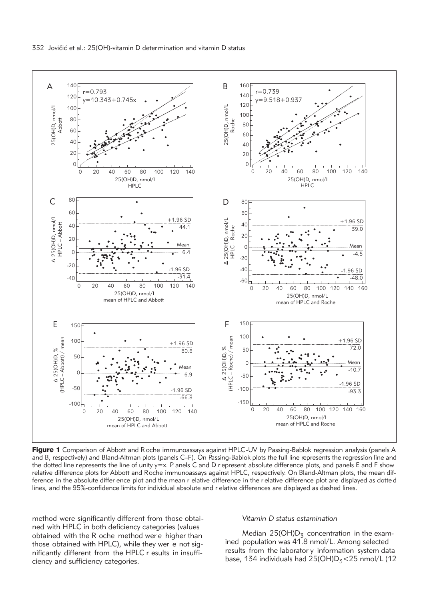

Figure 1 Comparison of Abbott and R oche immunoassays against HPLC-UV by Passing-Bablok regression analysis (panels A and B, respectively) and Bland-Altman plots (panels C–F). On Passing-Bablok plots the full line represents the regression line and the dotted line represents the line of unity  $y=x$ . P anels C and D r epresent absolute difference plots, and panels E and F show relative difference plots for Abbott and Roche immunoassays against HPLC, respectively. On Bland-Altman plots, the mean difference in the absolute differ ence plot and the mean r elative difference in the r elative difference plot are displayed as dotte d lines, and the 95%-confidence limits for individual absolute and r elative differences are displayed as dashed lines.

method were significantly different from those obtai ned with HPLC in both deficiency categories (values obtained with the R oche method wer e higher than those obtained with HPLC), while they wer e not significantly different from the HPLC r esults in insufficiency and sufficiency categories.

### *Vitamin D status estamination*

Median  $25(OH)D<sub>z</sub>$  concentration in the examined population was 41.8 nmol/L. Among selected results from the laborator y information system data base, 134 individuals had  $25(OH)D<sub>5</sub>< 25$  nmol/L (12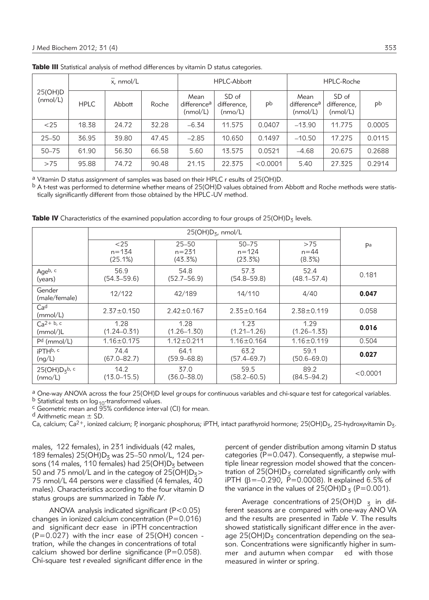| 25(OH)D<br>(nmol/L) | $\overline{x}$ , nmol/L |        |       | HPLC-Abbott                                 |                                 |          | HPLC-Roche                                  |                                  |        |
|---------------------|-------------------------|--------|-------|---------------------------------------------|---------------------------------|----------|---------------------------------------------|----------------------------------|--------|
|                     | <b>HPLC</b>             | Abbott | Roche | Mean<br>difference <sup>a</sup><br>(mmol/L) | SD of<br>difference,<br>(mmo/L) | pb       | Mean<br>difference <sup>a</sup><br>(mmol/L) | SD of<br>difference,<br>(mmol/L) | pb     |
| $25$                | 18.38                   | 24.72  | 32.28 | $-6.34$                                     | 11.575                          | 0.0407   | $-13.90$                                    | 11.775                           | 0.0005 |
| $25 - 50$           | 36.95                   | 39.80  | 47.45 | $-2.85$                                     | 10.650                          | 0.1497   | $-10.50$                                    | 17.275                           | 0.0115 |
| $50 - 75$           | 61.90                   | 56.30  | 66.58 | 5.60                                        | 13.575                          | 0.0521   | $-4.68$                                     | 20.675                           | 0.2688 |
| >75                 | 95.88                   | 74.72  | 90.48 | 21.15                                       | 22.375                          | < 0.0001 | 5.40                                        | 27.325                           | 0.2914 |

Table III Statistical analysis of method differences by vitamin D status categories.

a Vitamin D status assignment of samples was based on their HPLC r esults of 25(OH)D.

b A t-test was performed to determine whether means of 25(OH)D values obtained from Abbott and Roche methods were statistically significantly different from those obtained by the HPLC-UV method.

|                                 | < 25<br>$n = 134$<br>(25.1%) | $25 - 50$<br>$n = 231$<br>(43.3%) | $50 - 75$<br>$n = 124$<br>(23.3%) | >75<br>$n = 44$<br>(8.3%) | Pa       |
|---------------------------------|------------------------------|-----------------------------------|-----------------------------------|---------------------------|----------|
| Ageb, c<br>(years)              | 56.9<br>$(54.3 - 59.6)$      | 54.8<br>$(52.7 - 56.9)$           | 57.3<br>$(54.8 - 59.8)$           | 52.4<br>$(48.1 - 57.4)$   | 0.181    |
| Gender<br>(male/female)         | 12/122                       | 42/189                            | 14/110                            | 4/40                      | 0.047    |
| Ca <sup>d</sup><br>(mmol/L)     | $2.37 \pm 0.150$             | $2.42 \pm 0.167$                  | $2.35 \pm 0.164$                  | $2.38 \pm 0.119$          | 0.058    |
| $Ca^{2+ b, c}$<br>(mmol)/L      | 1.28<br>$(1.24 - 0.31)$      | 1.28<br>$(1.26 - 1.30)$           | 1.23<br>$(1.21 - 1.26)$           | 1.29<br>$(1.26 - 1.33)$   | 0.016    |
| $Pd$ (mmol/L)                   | $1.16 \pm 0.175$             | $1.12 \pm 0.211$                  | $1.16 \pm 0.164$                  | $1.16 \pm 0.119$          | 0.504    |
| iPTH <sub>b</sub> , c<br>(ng/L) | 74.4<br>$(67.0 - 82.7)$      | 64.1<br>$(59.9 - 68.8)$           | 63.2<br>$(57.4 - 69.7)$           | 59.1<br>$(50.6 - 69.0)$   | 0.027    |
| $25(OH)D_5b$ , c<br>(mmo/L)     | 14.2<br>$(13.0 - 15.5)$      | 37.0<br>$(36.0 - 38.0)$           | 59.5<br>$(58.2 - 60.5)$           | 89.2<br>$(84.5 - 94.2)$   | < 0.0001 |

**Table IV** Characteristics of the examined population according to four groups of 25(OH)D<sub>3</sub> levels.

<sup>a</sup> One-way ANOVA across the four 25(OH)D level groups for continuous variables and chi-square test for categorical variables.<br><sup>b</sup> Statistical tests on log<sub>10</sub>-transformed values.

 $c$  Geometric mean and  $95%$  confidence inter val (CI) for mean.

 $d$  Arithmetic mean  $\pm$  SD.

Ca, calcium; Ca<sup>2+</sup>, ionized calcium; P, inorganic phosphorus; iPTH, intact parathyroid hormone; 25(OH)D<sub>3</sub>, 25-hydroxyvitamin D<sub>3</sub>.

males, 122 females), in 231 individuals (42 males, 189 females)  $25(OH)D<sub>z</sub>$  was 25–50 nmol/L, 124 persons (14 males, 110 females) had  $25(OH)D<sub>3</sub>$  between 50 and 75 nmol/L and in the category of  $25(OH)D_3$ 75 nmol/L 44 persons wer e classified (4 females, 40 males). Characteristics according to the four vitamin D status groups are summarized in *Table IV*.

ANOVA analysis indicated significant (P<0.05) changes in ionized calcium concentration  $(P=0.016)$ and significant decr ease in iPTH concentraction  $(P=0.027)$  with the incr ease of 25(OH) concen tration, while the changes in concentrations of total calcium showed bor derline significance ( $P=0.058$ ). Chi-square test r evealed significant differ ence in the

percent of gender distribution among vitamin D status categories ( $P=0.047$ ). Consequently, a stepwise multiple linear regression model showed that the concentration of  $25(OH)D<sub>z</sub>$  correlated significantly only with iPTH ( $\beta = -0.290$ ,  $\bar{P} = 0.0008$ ). It explained 6.5% of the variance in the values of  $25(OH)D_5$  (P=0.001).

Average concentrations of 25(OH)D  $_7$  in different seasons are compared with one-way ANO VA and the results are presented in *Table V*. The results showed statistically significant differ ence in the average  $25(OH)D<sub>5</sub>$  concentration depending on the season. Concentrations were significantly higher in summer and autumn when compar ed with those measured in winter or spring.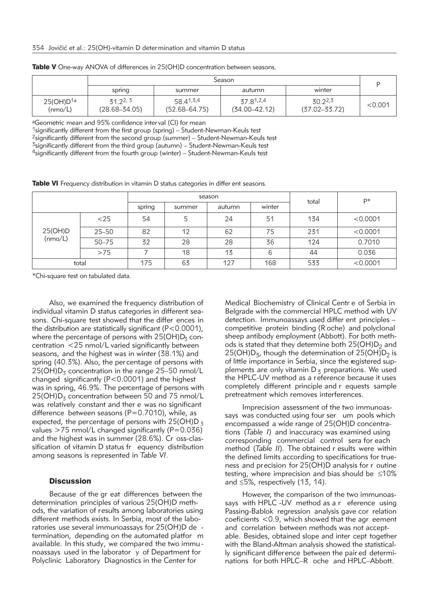|                                  | Season                         |                                |                                |                              |         |  |  |
|----------------------------------|--------------------------------|--------------------------------|--------------------------------|------------------------------|---------|--|--|
|                                  | spring                         | summer                         | autumn                         | winter                       |         |  |  |
| 25(OH)D <sup>1a</sup><br>(mmo/L) | 31, 22, 3<br>$(28.68 - 34.05)$ | 58.41,3,4<br>$(52.68 - 64.75)$ | 37.81,2,4<br>$(34.00 - 42.12)$ | 30.22,3<br>$(37.02 - 33.72)$ | < 0.001 |  |  |

Table V One-way ANOVA of differences in 25(OH)D concentration between seasons.

aGeometric mean and 95% confidence inter val (CI) for mean

<sup>1</sup>significantly different from the first group (spring) – Student-Newman-Keuls test 2significantly different from the second group (summer) – Student-Newman-Keuls test  $3$ significantly different from the third group (autumn) – Student-Newman-Keuls test

4significantly different from the fourth group (winter) – Student-Newman-Keuls test

Table VI Frequency distribution in vitamin D status categories in differ ent seasons.

|                    |           |        |        | season | total  | D*  |          |
|--------------------|-----------|--------|--------|--------|--------|-----|----------|
|                    |           | spring | summer | autumn | winter |     |          |
| 25(OH)D<br>(nmo/L) | $<$ 25    | 54     | 5      | 24     | 51     | 134 | < 0.0001 |
|                    | $25 - 50$ | 82     | 12     | 62     | 75     | 231 | < 0.0001 |
|                    | $50 - 75$ | 32     | 28     | 28     | 36     | 124 | 0.7010   |
|                    | >75       |        | 18     | 13     | 6      | 44  | 0.036    |
| total              |           | 175    | 63     | 127    | 168    | 533 | < 0.0001 |

\*Chi-square test on tabulated data.

Also, we examined the frequency distribution of individual vitamin D status categories in different seasons. Chi-square test showed that the differ ences in the distribution are statistically significant (P<0.0001), where the percentage of persons with  $25(OH)D<sub>3</sub>$  concentration <25 nmol/L varied significantly between seasons, and the highest was in winter (38.1%) and spring (40.3%). Also, the per centage of persons with  $25(OH)D<sub>z</sub>$  concentration in the range 25-50 nmol/L changed significantly (P<0.0001) and the highest was in spring, 46.9%. The percentage of persons with  $25(OH)D<sub>3</sub>$  concentration between 50 and 75 nmol/L was relatively constant and ther e was no significant difference between seasons (P=0.7010), while, as expected, the percentage of persons with  $25(OH)D_3$ values  $>75$  nmol/L changed significantly (P=0.036) and the highest was in summer (28.6%). Cr oss-classification of vitamin D status fr equency distribution among seasons is represented in *Table VI*.

# **Discussion**

Because of the gr eat differences between the determination principles of various 25(OH)D methods, the variation of results among laboratories using different methods exists. In Serbia, most of the laboratories use several immunoassays for 25(OH)D de termination, depending on the automated platfor m available. In this study, we compared the two immu noassays used in the laborator y of Department for Polyclinic Laboratory Diagnostics in the Center for

Medical Biochemistry of Clinical Centr e of Serbia in Belgrade with the commercial HPLC method with UV detection. Immunoassays used differ ent principles – competitive protein binding (R oche) and polyclonal sheep antibody employment (Abbott). For both methods is stated that they determine both  $25(OH)D<sub>2</sub>$  and 25(OH) $D_5$ , though the determination of 25(OH) $D_2$  is of little importance in Serbia, since the registered supplements are only vitamin  $D_5$  preparations. We used the HPLC-UV method as a reference because it uses completely different principle and r equests sample pretreatment which removes interferences.

Imprecision assessment of the two immunoassays was conducted using four ser um pools which encompassed a wide range of 25(OH)D concentrations (*Table I*) and inaccuracy was examined using corresponding commercial control sera for each method (*Table II*). The obtained r esults were within the defined limits according to specifications for trueness and precision for 25(OH)D analysis for r outine testing, where imprecision and bias should be ≤10% and ≤5%, respectively (13, 14).

However, the comparison of the two immunoassays with HPLC -UV method as a r eference using Passing-Bablok regression analysis gave cor relation coeficients <0.9, which showed that the agr eement and correlation between methods was not acceptable. Besides, obtained slope and inter cept together with the Bland-Altman analysis showed the statistically significant difference between the pair ed determinations for both HPLC–R oche and HPLC–Abbott.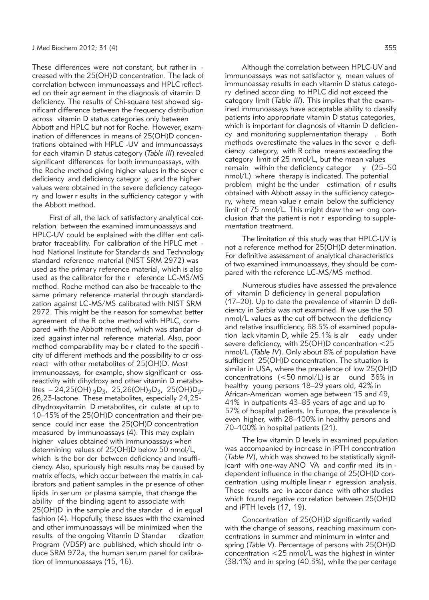These differences were not constant, but rather in creased with the 25(OH)D concentration. The lack of correlation between immunoassays and HPLC reflected on their agr eement in the diagnosis of vitamin D deficiency. The results of Chi-square test showed significant difference between the frequency distribution across vitamin D status categories only between Abbott and HPLC but not for Roche. However, examination of differences in means of 25(OH)D concentrations obtained with HPLC -UV and immunoassays for each vitamin D status category (*Table III*) revealed significant differences for both immunoassays, with the Roche method giving higher values in the sever e deficiency and deficiency categor y, and the higher values were obtained in the severe deficiency category and lower r esults in the sufficiency categor y with the Abbott method.

First of all, the lack of satisfactory analytical correlation between the examined immunoassays and HPLC-UV could be explained with the differ ent calibrator traceability. For calibration of the HPLC met hod National Institute for Standar ds and Technology standard reference material (NIST SRM 2972) was used as the primary reference material, which is also used as the calibrator for the r eference LC-MS/MS method. Roche method can also be traceable to the same primary reference material thr ough standardization against LC-MS/MS calibrated with NIST SRM 2972. This might be the r eason for somewhat better agreement of the R oche method with HPLC, compared with the Abbott method, which was standar dized against inter nal reference material. Also, poor method comparability may be r elated to the specifi city of different methods and the possibility to cr ossreact with other metabolites of 25(OH)D. Most immunoassays, for example, show significant cr ossreactivity with dihydroxy and other vitamin D metabolites – 24,25(OH)  $_2D_5$ , 25,26(OH) $_2D_5$ , 25(OH) $D_5$ -26,23-lactone. These metabolites, especially 24,25 dihydroxyvitamin D metabolites, cir culate at up to 10–15% of the 25(OH)D concentration and their presence could incr ease the 25(OH)D concentration measured by immunoassays (4). This may explain higher values obtained with immunoassays when determining values of 25(OH)D below 50 nmol/L, which is the bor der between deficiency and insufficiency. Also, spuriously high results may be caused by matrix effects, which occur between the matrix in calibrators and patient samples in the pr esence of other lipids in ser um or plasma sample, that change the ability of the binding agent to associate with 25(OH)D in the sample and the standar d in equal fashion (4). Hopefully, these issues with the examined and other immunoassays will be minimized when the results of the ongoing Vitamin D Standar dization Program (VDSP) ar e published, which should intr oduce SRM 972a, the human serum panel for calibration of immunoassays (15, 16).

Although the correlation between HPLC-UV and immunoassays was not satisfactor y, mean values of immunoassay results in each vitamin D status category defined accor ding to HPLC did not exceed the category limit (*Table III*). This implies that the examined immunoassays have acceptable ability to classify patients into appropriate vitamin D status categories, which is important for diagnosis of vitamin D deficiency and monitoring supplementation therapy . Both methods overestimate the values in the sever e deficiency category, with R oche means exceeding the category limit of 25 nmol/L, but the mean values remain within the deficiency categor  $y$  (25–50 nmol/L) where therapy is indicated. The potential problem might be the under estimation of r esults obtained with Abbott assay in the sufficiency category, where mean value r emain below the sufficiency limit of 75 nmol/L. This might draw the wr ong conclusion that the patient is not r esponding to supplementation treatment.

The limitation of this study was that HPLC-UV is not a reference method for 25(OH)D deter mination. For definitive assessment of analytical characteristics of two examined immunoassays, they should be compared with the reference LC-MS/MS method.

Numerous studies have assessed the prevalence of vitamin D deficiency in general population (17–20). Up to date the prevalence of vitamin D deficiency in Serbia was not examined. If we use the 50 nmol/L values as the cut off between the deficiency and relative insufficiency, 68.5% of examined population lack vitamin D, while 25.1% is alr eady under severe deficiency, with 25(OH)D concentration <25 nmol/L (*Table IV*). Only about 8% of population have sufficient 25(OH)D concentration. The situation is similar in USA, where the prevalence of low 25(OH)D concentrations (<50 nmol/L) is ar ound 36% in healthy young persons 18–29 years old, 42% in African-American women age between 15 and 49, 41% in outpatients 43–83 years of age and up to 57% of hospital patients. In Europe, the prevalence is even higher, with 28–100% in healthy persons and 70–100% in hospital patients (21).

The low vitamin D levels in examined population was accompanied by incr ease in iPTH concentration (*Table IV*), which was showed to be statistically significant with one-way ANO VA and confir med its in dependent influence in the change of 25(OH)D concentration using multiple linear r egression analysis. These results are in accor dance with other studies which found negative cor relation between 25(OH)D and iPTH levels (17, 19).

Concentration of 25(OH)D significantly varied with the change of seasons, reaching maximum concentrations in summer and minimum in winter and spring (*Table V*). Percentage of persons with 25(OH)D concentration  $\langle 25 \text{ nmol/L} \rangle$  was the highest in winter (38.1%) and in spring (40.3%), while the per centage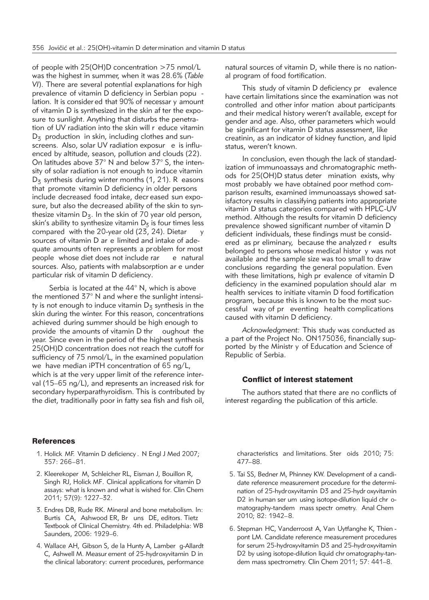of people with 25(OH)D concentration >75 nmol/L was the highest in summer, when it was 28.6% (*Table VI*). There are several potential explanations for high prevalence of vitamin D deficiency in Serbian popu lation. It is consider ed that 90% of necessar y amount of vitamin D is synthesized in the skin af ter the exposure to sunlight. Anything that disturbs the penetration of UV radiation into the skin will r educe vitamin  $D<sub>z</sub>$  production in skin, including clothes and sunscreens. Also, solar UV radiation exposur e is influenced by altitude, season, pollution and clouds (22). On latitudes above 37° N and below 37° S, the intensity of solar radiation is not enough to induce vitamin  $D<sub>z</sub>$  synthesis during winter months (1, 21). R easons that promote vitamin D deficiency in older persons include decreased food intake, decr eased sun exposure, but also the decreased ability of the skin to synthesize vitamin  $D_5$ . In the skin of 70 year old person, skin's ability to synthesize vitamin  $D<sub>z</sub>$  is four times less compared with the 20-year old  $(23, 24)$ . Dietar sources of vitamin D ar e limited and intake of adequate amounts often represents a problem for most people whose diet does not include rar e natural sources. Also, patients with malabsorption ar e under particular risk of vitamin D deficiency.

Serbia is located at the 44° N, which is above the mentioned 37° N and where the sunlight intensity is not enough to induce vitamin  $D_5$  synthesis in the skin during the winter. For this reason, concentrations achieved during summer should be high enough to provide the amounts of vitamin D thr oughout the year. Since even in the period of the highest synthesis 25(OH)D concentration does not reach the cutoff for sufficiency of 75 nmol/L, in the examined population we have median iPTH concentration of 65 ng/L, which is at the very upper limit of the reference interval (15–65 ng/L), and represents an increased risk for secondary hyperparathyroidism. This is contributed by the diet, traditionally poor in fatty sea fish and fish oil,

natural sources of vitamin D, while there is no national program of food fortification.

This study of vitamin D deficiency pr evalence have certain limitations since the examination was not controlled and other infor mation about participants and their medical history weren't available, except for gender and age. Also, other parameters which would be significant for vitamin D status assessment, like creatinin, as an indicator of kidney function, and lipid status, weren't known.

In conclusion, even though the lack of standardization of immunoassays and chromatographic methods for 25(OH)D status deter mination exists, why most probably we have obtained poor method comparison results, examined immunoassays showed satisfactory results in classifying patients into appropriate vitamin D status categories compared with HPLC-UV method. Although the results for vitamin D deficiency prevalence showed significant number of vitamin D deficient individuals, these findings must be considered as pr eliminary, because the analyzed r esults belonged to persons whose medical histor y was not available and the sample size was too small to draw conclusions regarding the general population. Even with these limitations, high pr evalence of vitamin D deficiency in the examined population should alar m health services to initiate vitamin D food fortification program, because this is known to be the most successful way of pr eventing health complications caused with vitamin D deficiency.

*Acknowledgment:* This study was conducted as a part of the Project No. ON175036, financially supported by the Ministr y of Education and Science of Republic of Serbia.

# Conflict of interest statement

The authors stated that there are no conflicts of interest regarding the publication of this article.

# **References**

- 1. Holick MF. Vitamin D deficiency . N Engl J Med 2007; 357: 266–81.
- 2. Kleerekoper M, Schleicher RL, Eisman J, Bouillon R, Singh RJ, Holick MF. Clinical applications for vitamin D assays: what is known and what is wished for. Clin Chem 2011; 57(9): 1227–32.
- 3. Endres DB, Rude RK. Mineral and bone metabolism. In: Burtis CA, Ashwood ER, Br uns DE, editors. Tietz Textbook of Clinical Chemistry. 4th ed. Philadelphia: WB Saunders, 2006: 1929–6.
- 4. Wallace AH, Gibson S, de la Hunty A, Lamber g-Allardt C, Ashwell M. Measur ement of 25-hydroxyvitamin D in the clinical laboratory: current procedures, performance

characteristics and limitations. Ster oids 2010; 75: 477–88.

- 5. Tai SS, Bedner M, Phinney KW. Development of a candidate reference measurement procedure for the determination of 25-hydroxyvitamin D3 and 25-hydr oxyvitamin D2 in human ser um using isotope-dilution liquid chr omatography-tandem mass spectr ometry. Anal Chem 2010; 82: 1942–8.
- 6. Stepman HC, Vanderroost A, Van Uytfanghe K, Thien pont LM. Candidate reference measurement procedures for serum 25-hydroxyvitamin D3 and 25-hydroxyvitamin D2 by using isotope-dilution liquid chr omatography-tandem mass spectrometry. Clin Chem 2011; 57: 441–8.